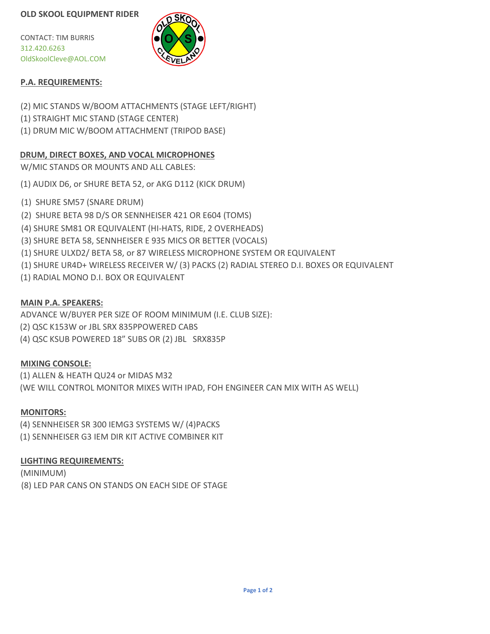CONTACT: TIM BURRIS 312.420.6263 [OldSkoolCleve@AOL.COM](mailto:OldSkoolCleve@AOL.COM)



# **P.A. REQUIREMENTS:**

(2) MIC STANDS W/BOOM ATTACHMENTS (STAGE LEFT/RIGHT)

- (1) STRAIGHT MIC STAND (STAGE CENTER)
- (1) DRUM MIC W/BOOM ATTACHMENT (TRIPOD BASE)

# **DRUM, DIRECT BOXES, AND VOCAL MICROPHONES**

W/MIC STANDS OR MOUNTS AND ALL CABLES:

(1) AUDIX D6, or SHURE BETA 52, or AKG D112 (KICK DRUM)

- (1) SHURE SM57 (SNARE DRUM)
- (2) SHURE BETA 98 D/S OR SENNHEISER 421 OR E604 (TOMS)
- (4) SHURE SM81 OR EQUIVALENT (HI-HATS, RIDE, 2 OVERHEADS)
- (3) SHURE BETA 58, SENNHEISER E 935 MICS OR BETTER (VOCALS)
- (1) SHURE ULXD2/ BETA 58, or 87 WIRELESS MICROPHONE SYSTEM OR EQUIVALENT
- (1) SHURE UR4D+ WIRELESS RECEIVER W/ (3) PACKS (2) RADIAL STEREO D.I. BOXES OR EQUIVALENT
- (1) RADIAL MONO D.I. BOX OR EQUIVALENT

# **MAIN P.A. SPEAKERS:**

ADVANCE W/BUYER PER SIZE OF ROOM MINIMUM (I.E. CLUB SIZE):

- (2) QSC K153W or JBL SRX 835PPOWERED CABS
- (4) QSC KSUB POWERED 18" SUBS OR (2) JBL SRX835P

# **MIXING CONSOLE:**

(1) ALLEN & HEATH QU24 or MIDAS M32 (WE WILL CONTROL MONITOR MIXES WITH IPAD, FOH ENGINEER CAN MIX WITH AS WELL)

## **MONITORS:**

(4) SENNHEISER SR 300 IEMG3 SYSTEMS W/ (4)PACKS (1) SENNHEISER G3 IEM DIR KIT ACTIVE COMBINER KIT

## **LIGHTING REQUIREMENTS:**

(MINIMUM) (8) LED PAR CANS ON STANDS ON EACH SIDE OF STAGE